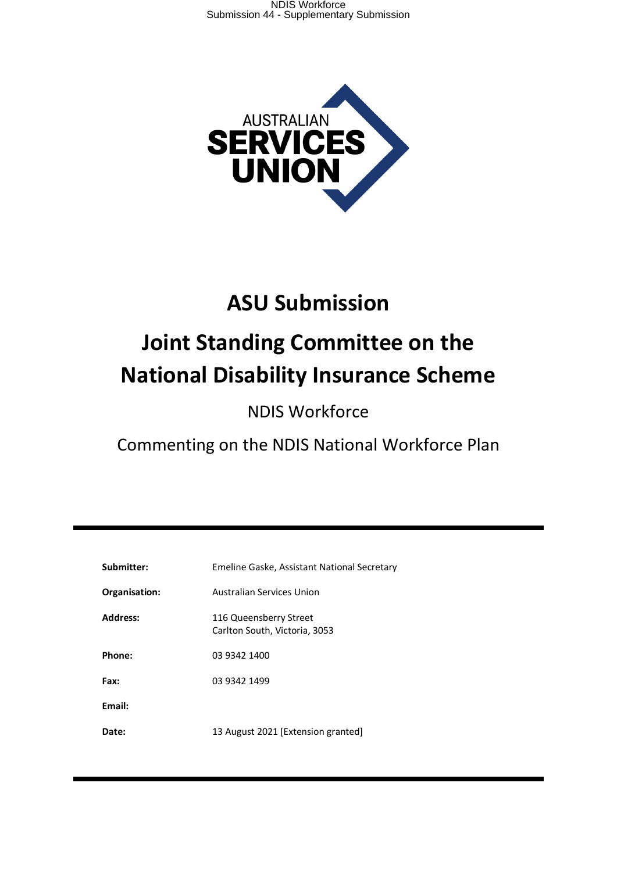

# **ASU Submission**

# **Joint Standing Committee on the National Disability Insurance Scheme**

NDIS Workforce

Commenting on the NDIS National Workforce Plan

| Submitter:      | Emeline Gaske, Assistant National Secretary             |
|-----------------|---------------------------------------------------------|
| Organisation:   | Australian Services Union                               |
| <b>Address:</b> | 116 Queensberry Street<br>Carlton South, Victoria, 3053 |
| Phone:          | 03 9342 1400                                            |
| Fax:            | 03 9342 1499                                            |
| Email:          |                                                         |
| Date:           | 13 August 2021 [Extension granted]                      |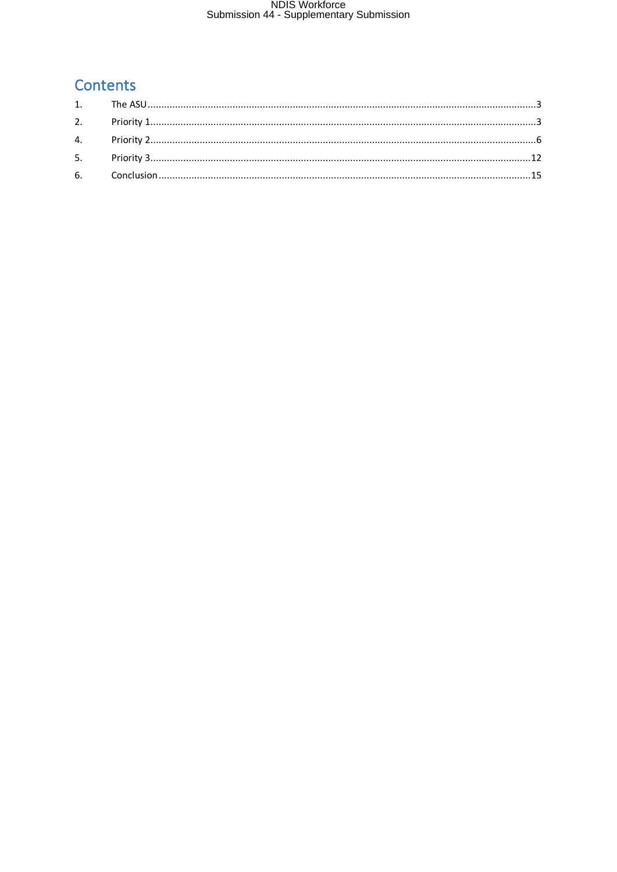### Contents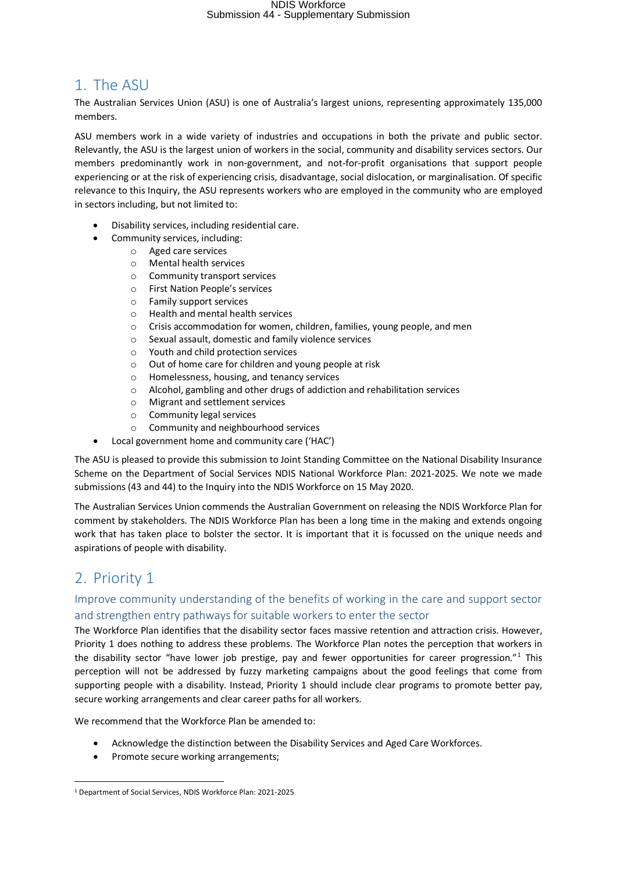### 1. The ASU

The Australian Services Union (ASU) is one of Australia's largest unions, representing approximately 135,000 members.

ASU members work in a wide variety of industries and occupations in both the private and public sector. Relevantly, the ASU is the largest union of workers in the social, community and disability services sectors. Our members predominantly work in non-government, and not-for-profit organisations that support people experiencing or at the risk of experiencing crisis, disadvantage, social dislocation, or marginalisation. Of specific relevance to this Inquiry, the ASU represents workers who are employed in the community who are employed in sectors including, but not limited to:

- Disability services, including residential care.
	- Community services, including:
		- o Aged care services
		- o Mental health services
		- o Community transport services
		- o First Nation People's services
		- o Family support services
		- o Health and mental health services
		- o Crisis accommodation for women, children, families, young people, and men
		- o Sexual assault, domestic and family violence services
		- o Youth and child protection services
		- o Out of home care for children and young people at risk
		- o Homelessness, housing, and tenancy services
		- o Alcohol, gambling and other drugs of addiction and rehabilitation services
		- o Migrant and settlement services
		- o Community legal services
		- o Community and neighbourhood services
	- Local government home and community care ('HAC')

The ASU is pleased to provide this submission to Joint Standing Committee on the National Disability Insurance Scheme on the Department of Social Services NDIS National Workforce Plan: 2021-2025. We note we made submissions (43 and 44) to the Inquiry into the NDIS Workforce on 15 May 2020.

The Australian Services Union commends the Australian Government on releasing the NDIS Workforce Plan for comment by stakeholders. The NDIS Workforce Plan has been a long time in the making and extends ongoing work that has taken place to bolster the sector. It is important that it is focussed on the unique needs and aspirations of people with disability.

### 2. Priority 1

 $\overline{\phantom{a}}$ 

### Improve community understanding of the benefits of working in the care and support sector and strengthen entry pathways for suitable workers to enter the sector

The Workforce Plan identifies that the disability sector faces massive retention and attraction crisis. However, Priority 1 does nothing to address these problems. The Workforce Plan notes the perception that workers in the disability sector "have lower job prestige, pay and fewer opportunities for career progression."<sup>1</sup> This perception will not be addressed by fuzzy marketing campaigns about the good feelings that come from supporting people with a disability. Instead, Priority 1 should include clear programs to promote better pay, secure working arrangements and clear career paths for all workers.

We recommend that the Workforce Plan be amended to:

- Acknowledge the distinction between the Disability Services and Aged Care Workforces.
- Promote secure working arrangements;

<sup>1</sup> Department of Social Services, NDIS Workforce Plan: 2021-2025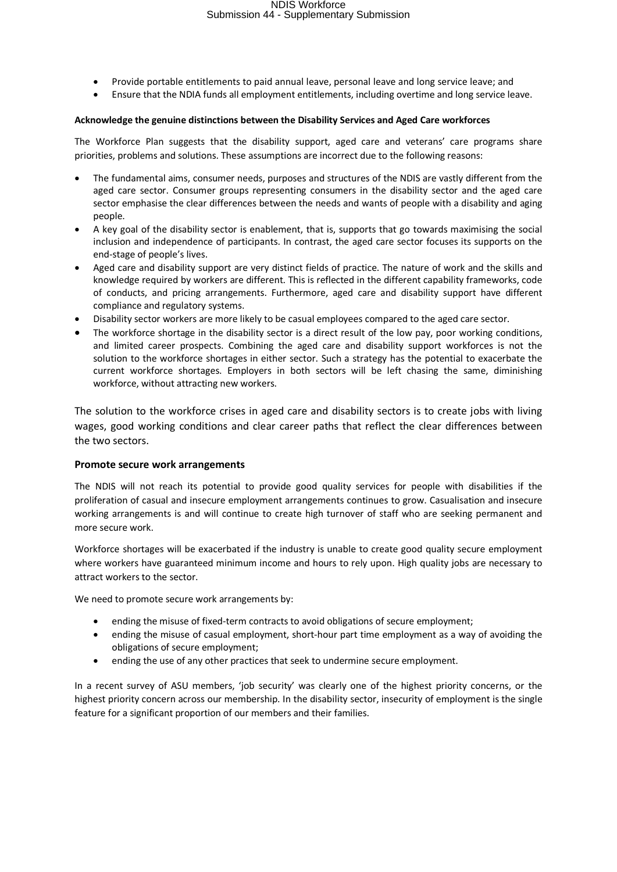- Provide portable entitlements to paid annual leave, personal leave and long service leave; and
- Ensure that the NDIA funds all employment entitlements, including overtime and long service leave.

#### **Acknowledge the genuine distinctions between the Disability Services and Aged Care workforces**

The Workforce Plan suggests that the disability support, aged care and veterans' care programs share priorities, problems and solutions. These assumptions are incorrect due to the following reasons:

- The fundamental aims, consumer needs, purposes and structures of the NDIS are vastly different from the aged care sector. Consumer groups representing consumers in the disability sector and the aged care sector emphasise the clear differences between the needs and wants of people with a disability and aging people.
- A key goal of the disability sector is enablement, that is, supports that go towards maximising the social inclusion and independence of participants. In contrast, the aged care sector focuses its supports on the end-stage of people's lives.
- Aged care and disability support are very distinct fields of practice. The nature of work and the skills and knowledge required by workers are different. This is reflected in the different capability frameworks, code of conducts, and pricing arrangements. Furthermore, aged care and disability support have different compliance and regulatory systems.
- Disability sector workers are more likely to be casual employees compared to the aged care sector.
- The workforce shortage in the disability sector is a direct result of the low pay, poor working conditions, and limited career prospects. Combining the aged care and disability support workforces is not the solution to the workforce shortages in either sector. Such a strategy has the potential to exacerbate the current workforce shortages. Employers in both sectors will be left chasing the same, diminishing workforce, without attracting new workers.

The solution to the workforce crises in aged care and disability sectors is to create jobs with living wages, good working conditions and clear career paths that reflect the clear differences between the two sectors.

#### **Promote secure work arrangements**

The NDIS will not reach its potential to provide good quality services for people with disabilities if the proliferation of casual and insecure employment arrangements continues to grow. Casualisation and insecure working arrangements is and will continue to create high turnover of staff who are seeking permanent and more secure work.

Workforce shortages will be exacerbated if the industry is unable to create good quality secure employment where workers have guaranteed minimum income and hours to rely upon. High quality jobs are necessary to attract workers to the sector.

We need to promote secure work arrangements by:

- ending the misuse of fixed-term contracts to avoid obligations of secure employment;
- ending the misuse of casual employment, short-hour part time employment as a way of avoiding the obligations of secure employment;
- ending the use of any other practices that seek to undermine secure employment.

In a recent survey of ASU members, 'job security' was clearly one of the highest priority concerns, or the highest priority concern across our membership. In the disability sector, insecurity of employment is the single feature for a significant proportion of our members and their families.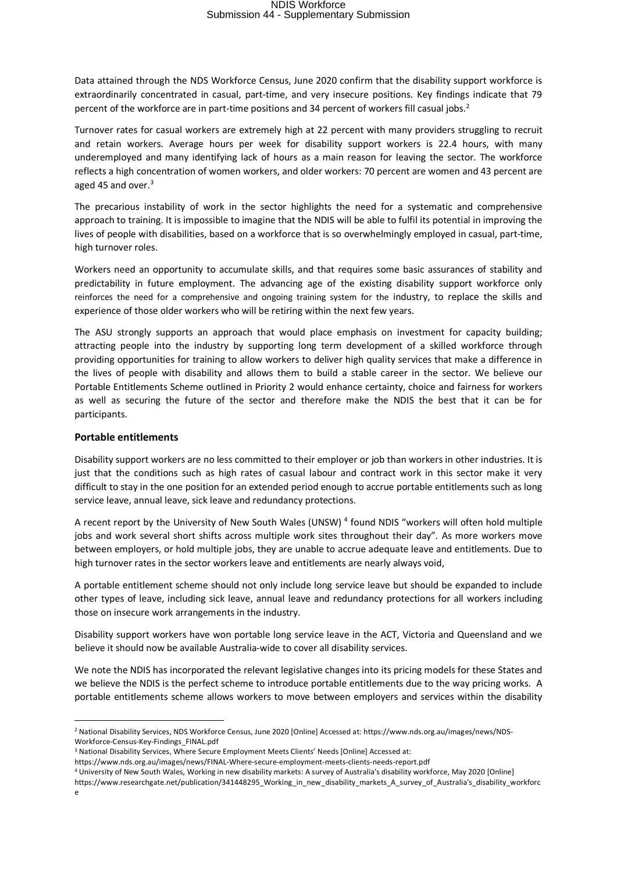Data attained through the NDS Workforce Census, June 2020 confirm that the disability support workforce is extraordinarily concentrated in casual, part-time, and very insecure positions. Key findings indicate that 79 percent of the workforce are in part-time positions and 34 percent of workers fill casual jobs. 2

Turnover rates for casual workers are extremely high at 22 percent with many providers struggling to recruit and retain workers. Average hours per week for disability support workers is 22.4 hours, with many underemployed and many identifying lack of hours as a main reason for leaving the sector. The workforce reflects a high concentration of women workers, and older workers: 70 percent are women and 43 percent are aged 45 and over.<sup>3</sup>

The precarious instability of work in the sector highlights the need for a systematic and comprehensive approach to training. It is impossible to imagine that the NDIS will be able to fulfil its potential in improving the lives of people with disabilities, based on a workforce that is so overwhelmingly employed in casual, part-time, high turnover roles.

Workers need an opportunity to accumulate skills, and that requires some basic assurances of stability and predictability in future employment. The advancing age of the existing disability support workforce only reinforces the need for a comprehensive and ongoing training system for the industry, to replace the skills and experience of those older workers who will be retiring within the next few years.

The ASU strongly supports an approach that would place emphasis on investment for capacity building; attracting people into the industry by supporting long term development of a skilled workforce through providing opportunities for training to allow workers to deliver high quality services that make a difference in the lives of people with disability and allows them to build a stable career in the sector. We believe our Portable Entitlements Scheme outlined in Priority 2 would enhance certainty, choice and fairness for workers as well as securing the future of the sector and therefore make the NDIS the best that it can be for participants.

#### **Portable entitlements**

Disability support workers are no less committed to their employer or job than workers in other industries. It is just that the conditions such as high rates of casual labour and contract work in this sector make it very difficult to stay in the one position for an extended period enough to accrue portable entitlements such as long service leave, annual leave, sick leave and redundancy protections.

A recent report by the University of New South Wales (UNSW) <sup>4</sup> found NDIS "workers will often hold multiple jobs and work several short shifts across multiple work sites throughout their day". As more workers move between employers, or hold multiple jobs, they are unable to accrue adequate leave and entitlements. Due to high turnover rates in the sector workers leave and entitlements are nearly always void,

A portable entitlement scheme should not only include long service leave but should be expanded to include other types of leave, including sick leave, annual leave and redundancy protections for all workers including those on insecure work arrangements in the industry.

Disability support workers have won portable long service leave in the ACT, Victoria and Queensland and we believe it should now be available Australia-wide to cover all disability services.

We note the NDIS has incorporated the relevant legislative changes into its pricing models for these States and we believe the NDIS is the perfect scheme to introduce portable entitlements due to the way pricing works. A portable entitlements scheme allows workers to move between employers and services within the disability

1

<sup>2</sup> National Disability Services, NDS Workforce Census, June 2020 [Online] Accessed at: https://www.nds.org.au/images/news/NDS-Workforce-Census-Key-Findings\_FINAL.pdf

<sup>3</sup> National Disability Services, Where Secure Employment Meets Clients' Needs [Online] Accessed at:

https://www.nds.org.au/images/news/FINAL-Where-secure-employment-meets-clients-needs-report.pdf

<sup>4</sup> University of New South Wales, Working in new disability markets: A survey of Australia's disability workforce, May 2020 [Online] https://www.researchgate.net/publication/341448295\_Working\_in\_new\_disability\_markets\_A\_survey\_of\_Australia's\_disability\_workforc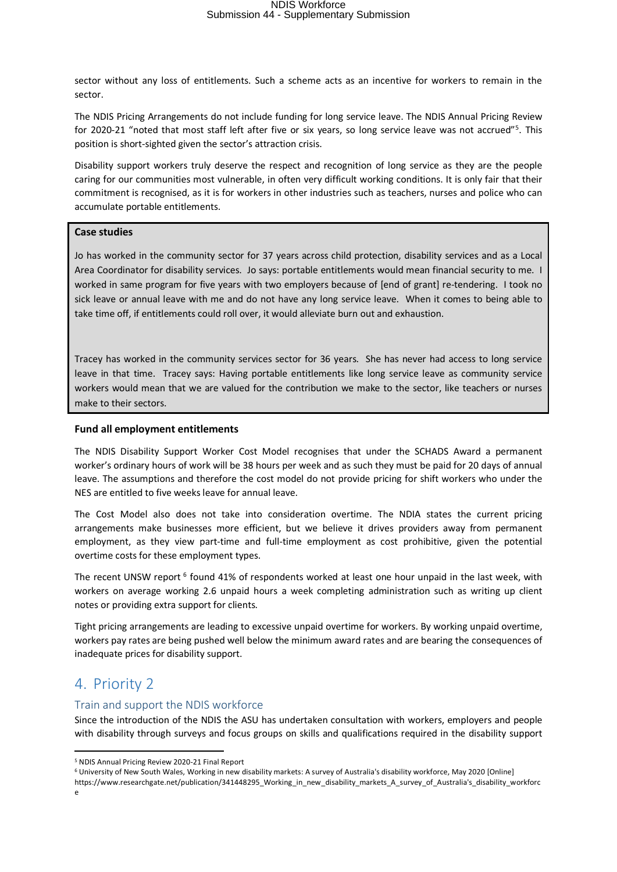sector without any loss of entitlements. Such a scheme acts as an incentive for workers to remain in the sector.

The NDIS Pricing Arrangements do not include funding for long service leave. The NDIS Annual Pricing Review for 2020-21 "noted that most staff left after five or six years, so long service leave was not accrued"<sup>5</sup>. This position is short-sighted given the sector's attraction crisis.

Disability support workers truly deserve the respect and recognition of long service as they are the people caring for our communities most vulnerable, in often very difficult working conditions. It is only fair that their commitment is recognised, as it is for workers in other industries such as teachers, nurses and police who can accumulate portable entitlements.

#### **Case studies**

Jo has worked in the community sector for 37 years across child protection, disability services and as a Local Area Coordinator for disability services. Jo says: portable entitlements would mean financial security to me. I worked in same program for five years with two employers because of [end of grant] re-tendering. I took no sick leave or annual leave with me and do not have any long service leave. When it comes to being able to take time off, if entitlements could roll over, it would alleviate burn out and exhaustion.

Tracey has worked in the community services sector for 36 years. She has never had access to long service leave in that time. Tracey says: Having portable entitlements like long service leave as community service workers would mean that we are valued for the contribution we make to the sector, like teachers or nurses make to their sectors.

#### **Fund all employment entitlements**

The NDIS Disability Support Worker Cost Model recognises that under the SCHADS Award a permanent worker's ordinary hours of work will be 38 hours per week and as such they must be paid for 20 days of annual leave. The assumptions and therefore the cost model do not provide pricing for shift workers who under the NES are entitled to five weeks leave for annual leave.

The Cost Model also does not take into consideration overtime. The NDIA states the current pricing arrangements make businesses more efficient, but we believe it drives providers away from permanent employment, as they view part-time and full-time employment as cost prohibitive, given the potential overtime costs for these employment types.

The recent UNSW report <sup>6</sup> found 41% of respondents worked at least one hour unpaid in the last week, with workers on average working 2.6 unpaid hours a week completing administration such as writing up client notes or providing extra support for clients.

Tight pricing arrangements are leading to excessive unpaid overtime for workers. By working unpaid overtime, workers pay rates are being pushed well below the minimum award rates and are bearing the consequences of inadequate prices for disability support.

### 4. Priority 2

#### Train and support the NDIS workforce

Since the introduction of the NDIS the ASU has undertaken consultation with workers, employers and people with disability through surveys and focus groups on skills and qualifications required in the disability support

https://www.researchgate.net/publication/341448295\_Working\_in\_new\_disability\_markets\_A\_survey\_of\_Australia's\_disability\_workforc

 $\overline{\phantom{a}}$ 

<sup>5</sup> NDIS Annual Pricing Review 2020-21 Final Report

<sup>6</sup> University of New South Wales, Working in new disability markets: A survey of Australia's disability workforce, May 2020 [Online]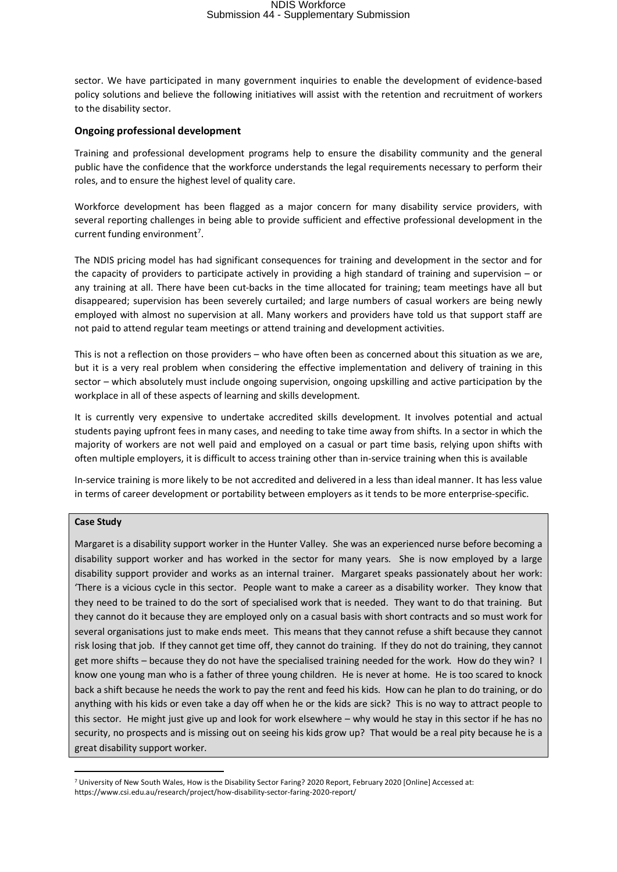sector. We have participated in many government inquiries to enable the development of evidence-based policy solutions and believe the following initiatives will assist with the retention and recruitment of workers to the disability sector.

#### **Ongoing professional development**

Training and professional development programs help to ensure the disability community and the general public have the confidence that the workforce understands the legal requirements necessary to perform their roles, and to ensure the highest level of quality care.

Workforce development has been flagged as a major concern for many disability service providers, with several reporting challenges in being able to provide sufficient and effective professional development in the current funding environment<sup>7</sup>.

The NDIS pricing model has had significant consequences for training and development in the sector and for the capacity of providers to participate actively in providing a high standard of training and supervision – or any training at all. There have been cut-backs in the time allocated for training; team meetings have all but disappeared; supervision has been severely curtailed; and large numbers of casual workers are being newly employed with almost no supervision at all. Many workers and providers have told us that support staff are not paid to attend regular team meetings or attend training and development activities.

This is not a reflection on those providers – who have often been as concerned about this situation as we are, but it is a very real problem when considering the effective implementation and delivery of training in this sector – which absolutely must include ongoing supervision, ongoing upskilling and active participation by the workplace in all of these aspects of learning and skills development.

It is currently very expensive to undertake accredited skills development. It involves potential and actual students paying upfront fees in many cases, and needing to take time away from shifts. In a sector in which the majority of workers are not well paid and employed on a casual or part time basis, relying upon shifts with often multiple employers, it is difficult to access training other than in-service training when this is available

In-service training is more likely to be not accredited and delivered in a less than ideal manner. It has less value in terms of career development or portability between employers as it tends to be more enterprise-specific.

#### **Case Study**

**.** 

Margaret is a disability support worker in the Hunter Valley. She was an experienced nurse before becoming a disability support worker and has worked in the sector for many years. She is now employed by a large disability support provider and works as an internal trainer. Margaret speaks passionately about her work: 'There is a vicious cycle in this sector. People want to make a career as a disability worker. They know that they need to be trained to do the sort of specialised work that is needed. They want to do that training. But they cannot do it because they are employed only on a casual basis with short contracts and so must work for several organisations just to make ends meet. This means that they cannot refuse a shift because they cannot risk losing that job. If they cannot get time off, they cannot do training. If they do not do training, they cannot get more shifts – because they do not have the specialised training needed for the work. How do they win? I know one young man who is a father of three young children. He is never at home. He is too scared to knock back a shift because he needs the work to pay the rent and feed his kids. How can he plan to do training, or do anything with his kids or even take a day off when he or the kids are sick? This is no way to attract people to this sector. He might just give up and look for work elsewhere – why would he stay in this sector if he has no security, no prospects and is missing out on seeing his kids grow up? That would be a real pity because he is a great disability support worker.

<sup>7</sup> University of New South Wales, How is the Disability Sector Faring? 2020 Report, February 2020 [Online] Accessed at: https://www.csi.edu.au/research/project/how-disability-sector-faring-2020-report/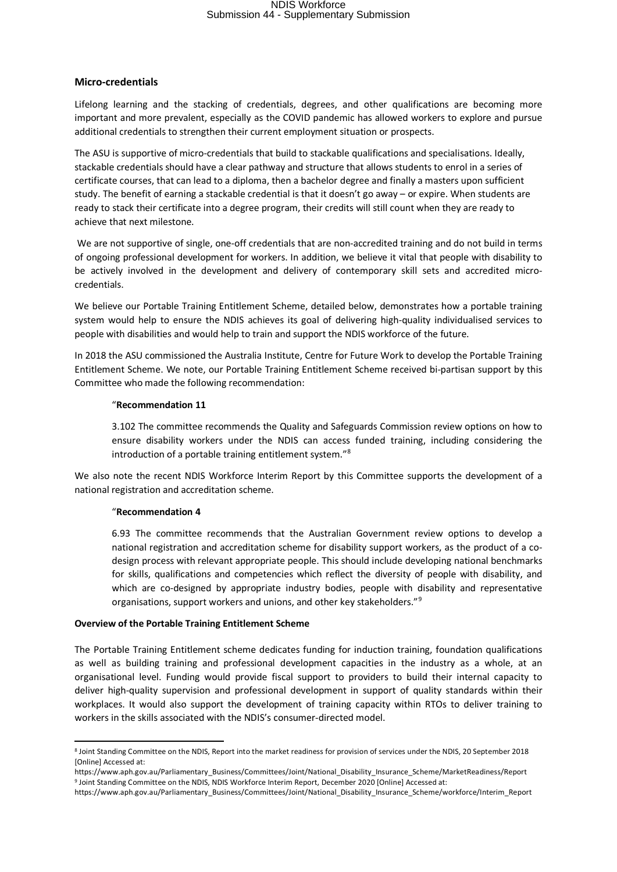#### **Micro-credentials**

Lifelong learning and the stacking of credentials, degrees, and other qualifications are becoming more important and more prevalent, especially as the COVID pandemic has allowed workers to explore and pursue additional credentials to strengthen their current employment situation or prospects.

The ASU is supportive of micro-credentials that build to stackable qualifications and specialisations. Ideally, stackable credentials should have a clear pathway and structure that allows students to enrol in a series of certificate courses, that can lead to a diploma, then a bachelor degree and finally a masters upon sufficient study. The benefit of earning a stackable credential is that it doesn't go away – or expire. When students are ready to stack their certificate into a degree program, their credits will still count when they are ready to achieve that next milestone.

 We are not supportive of single, one-off credentials that are non-accredited training and do not build in terms of ongoing professional development for workers. In addition, we believe it vital that people with disability to be actively involved in the development and delivery of contemporary skill sets and accredited microcredentials.

We believe our Portable Training Entitlement Scheme, detailed below, demonstrates how a portable training system would help to ensure the NDIS achieves its goal of delivering high-quality individualised services to people with disabilities and would help to train and support the NDIS workforce of the future.

In 2018 the ASU commissioned the Australia Institute, Centre for Future Work to develop the Portable Training Entitlement Scheme. We note, our Portable Training Entitlement Scheme received bi-partisan support by this Committee who made the following recommendation:

#### "**Recommendation 11**

3.102 The committee recommends the Quality and Safeguards Commission review options on how to ensure disability workers under the NDIS can access funded training, including considering the introduction of a portable training entitlement system."8

We also note the recent NDIS Workforce Interim Report by this Committee supports the development of a national registration and accreditation scheme.

#### "**Recommendation 4**

6.93 The committee recommends that the Australian Government review options to develop a national registration and accreditation scheme for disability support workers, as the product of a codesign process with relevant appropriate people. This should include developing national benchmarks for skills, qualifications and competencies which reflect the diversity of people with disability, and which are co-designed by appropriate industry bodies, people with disability and representative organisations, support workers and unions, and other key stakeholders."9

#### **Overview of the Portable Training Entitlement Scheme**

The Portable Training Entitlement scheme dedicates funding for induction training, foundation qualifications as well as building training and professional development capacities in the industry as a whole, at an organisational level. Funding would provide fiscal support to providers to build their internal capacity to deliver high-quality supervision and professional development in support of quality standards within their workplaces. It would also support the development of training capacity within RTOs to deliver training to workers in the skills associated with the NDIS's consumer-directed model.

**<sup>.</sup>** <sup>8</sup> Joint Standing Committee on the NDIS, Report into the market readiness for provision of services under the NDIS, 20 September 2018 [Online] Accessed at:

https://www.aph.gov.au/Parliamentary\_Business/Committees/Joint/National\_Disability\_Insurance\_Scheme/MarketReadiness/Report<br>9 Joint Standing Committee on the NDIS, NDIS Workforce Interim Report, December 2020 [Online] Acces

https://www.aph.gov.au/Parliamentary\_Business/Committees/Joint/National\_Disability\_Insurance\_Scheme/workforce/Interim\_Report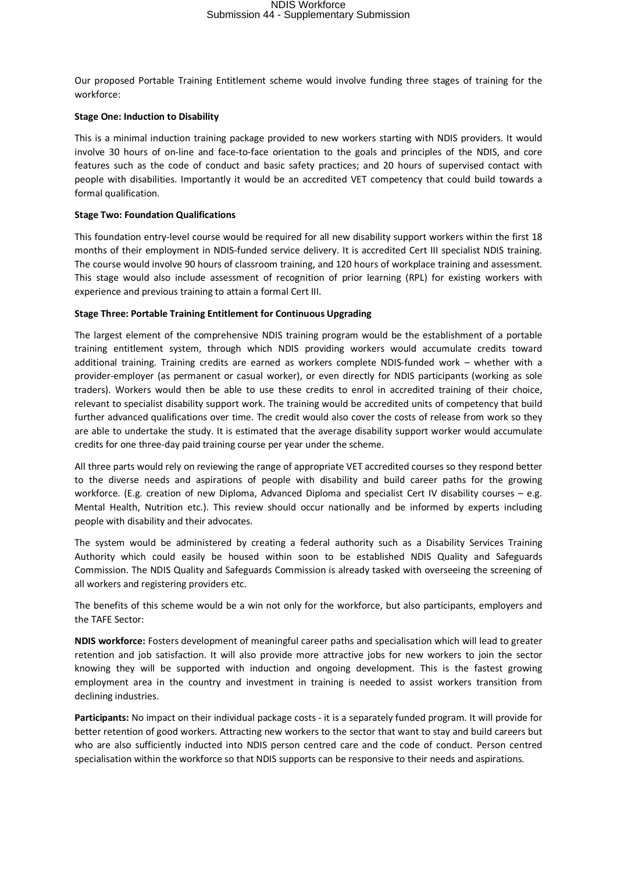Our proposed Portable Training Entitlement scheme would involve funding three stages of training for the workforce:

#### **Stage One: Induction to Disability**

This is a minimal induction training package provided to new workers starting with NDIS providers. It would involve 30 hours of on-line and face-to-face orientation to the goals and principles of the NDIS, and core features such as the code of conduct and basic safety practices; and 20 hours of supervised contact with people with disabilities. Importantly it would be an accredited VET competency that could build towards a formal qualification.

#### **Stage Two: Foundation Qualifications**

This foundation entry-level course would be required for all new disability support workers within the first 18 months of their employment in NDIS-funded service delivery. It is accredited Cert III specialist NDIS training. The course would involve 90 hours of classroom training, and 120 hours of workplace training and assessment. This stage would also include assessment of recognition of prior learning (RPL) for existing workers with experience and previous training to attain a formal Cert III.

#### **Stage Three: Portable Training Entitlement for Continuous Upgrading**

The largest element of the comprehensive NDIS training program would be the establishment of a portable training entitlement system, through which NDIS providing workers would accumulate credits toward additional training. Training credits are earned as workers complete NDIS-funded work – whether with a provider-employer (as permanent or casual worker), or even directly for NDIS participants (working as sole traders). Workers would then be able to use these credits to enrol in accredited training of their choice, relevant to specialist disability support work. The training would be accredited units of competency that build further advanced qualifications over time. The credit would also cover the costs of release from work so they are able to undertake the study. It is estimated that the average disability support worker would accumulate credits for one three-day paid training course per year under the scheme.

All three parts would rely on reviewing the range of appropriate VET accredited courses so they respond better to the diverse needs and aspirations of people with disability and build career paths for the growing workforce. (E.g. creation of new Diploma, Advanced Diploma and specialist Cert IV disability courses – e.g. Mental Health, Nutrition etc.). This review should occur nationally and be informed by experts including people with disability and their advocates.

The system would be administered by creating a federal authority such as a Disability Services Training Authority which could easily be housed within soon to be established NDIS Quality and Safeguards Commission. The NDIS Quality and Safeguards Commission is already tasked with overseeing the screening of all workers and registering providers etc.

The benefits of this scheme would be a win not only for the workforce, but also participants, employers and the TAFE Sector:

**NDIS workforce:** Fosters development of meaningful career paths and specialisation which will lead to greater retention and job satisfaction. It will also provide more attractive jobs for new workers to join the sector knowing they will be supported with induction and ongoing development. This is the fastest growing employment area in the country and investment in training is needed to assist workers transition from declining industries.

Participants: No impact on their individual package costs - it is a separately funded program. It will provide for better retention of good workers. Attracting new workers to the sector that want to stay and build careers but who are also sufficiently inducted into NDIS person centred care and the code of conduct. Person centred specialisation within the workforce so that NDIS supports can be responsive to their needs and aspirations.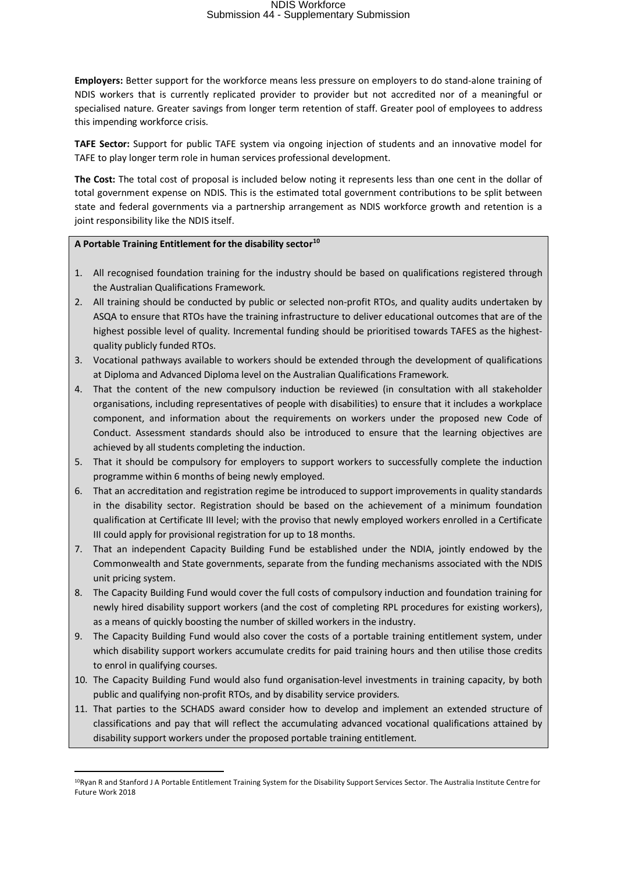**Employers:** Better support for the workforce means less pressure on employers to do stand-alone training of NDIS workers that is currently replicated provider to provider but not accredited nor of a meaningful or specialised nature. Greater savings from longer term retention of staff. Greater pool of employees to address this impending workforce crisis.

**TAFE Sector:** Support for public TAFE system via ongoing injection of students and an innovative model for TAFE to play longer term role in human services professional development.

**The Cost:** The total cost of proposal is included below noting it represents less than one cent in the dollar of total government expense on NDIS. This is the estimated total government contributions to be split between state and federal governments via a partnership arrangement as NDIS workforce growth and retention is a joint responsibility like the NDIS itself.

#### **A Portable Training Entitlement for the disability sector10**

**.** 

- 1. All recognised foundation training for the industry should be based on qualifications registered through the Australian Qualifications Framework.
- 2. All training should be conducted by public or selected non-profit RTOs, and quality audits undertaken by ASQA to ensure that RTOs have the training infrastructure to deliver educational outcomes that are of the highest possible level of quality. Incremental funding should be prioritised towards TAFES as the highestquality publicly funded RTOs.
- 3. Vocational pathways available to workers should be extended through the development of qualifications at Diploma and Advanced Diploma level on the Australian Qualifications Framework.
- 4. That the content of the new compulsory induction be reviewed (in consultation with all stakeholder organisations, including representatives of people with disabilities) to ensure that it includes a workplace component, and information about the requirements on workers under the proposed new Code of Conduct. Assessment standards should also be introduced to ensure that the learning objectives are achieved by all students completing the induction.
- 5. That it should be compulsory for employers to support workers to successfully complete the induction programme within 6 months of being newly employed.
- 6. That an accreditation and registration regime be introduced to support improvements in quality standards in the disability sector. Registration should be based on the achievement of a minimum foundation qualification at Certificate III level; with the proviso that newly employed workers enrolled in a Certificate III could apply for provisional registration for up to 18 months.
- 7. That an independent Capacity Building Fund be established under the NDIA, jointly endowed by the Commonwealth and State governments, separate from the funding mechanisms associated with the NDIS unit pricing system.
- 8. The Capacity Building Fund would cover the full costs of compulsory induction and foundation training for newly hired disability support workers (and the cost of completing RPL procedures for existing workers), as a means of quickly boosting the number of skilled workers in the industry.
- 9. The Capacity Building Fund would also cover the costs of a portable training entitlement system, under which disability support workers accumulate credits for paid training hours and then utilise those credits to enrol in qualifying courses.
- 10. The Capacity Building Fund would also fund organisation-level investments in training capacity, by both public and qualifying non-profit RTOs, and by disability service providers.
- 11. That parties to the SCHADS award consider how to develop and implement an extended structure of classifications and pay that will reflect the accumulating advanced vocational qualifications attained by disability support workers under the proposed portable training entitlement.

<sup>10</sup>Ryan R and Stanford J A Portable Entitlement Training System for the Disability Support Services Sector. The Australia Institute Centre for Future Work 2018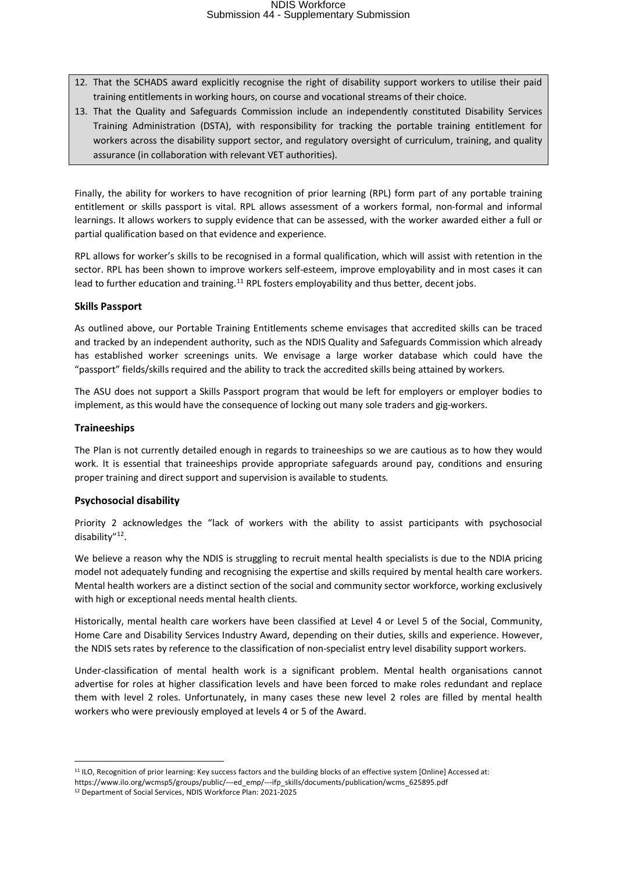- 12. That the SCHADS award explicitly recognise the right of disability support workers to utilise their paid training entitlements in working hours, on course and vocational streams of their choice.
- 13. That the Quality and Safeguards Commission include an independently constituted Disability Services Training Administration (DSTA), with responsibility for tracking the portable training entitlement for workers across the disability support sector, and regulatory oversight of curriculum, training, and quality assurance (in collaboration with relevant VET authorities).

Finally, the ability for workers to have recognition of prior learning (RPL) form part of any portable training entitlement or skills passport is vital. RPL allows assessment of a workers formal, non-formal and informal learnings. It allows workers to supply evidence that can be assessed, with the worker awarded either a full or partial qualification based on that evidence and experience.

RPL allows for worker's skills to be recognised in a formal qualification, which will assist with retention in the sector. RPL has been shown to improve workers self-esteem, improve employability and in most cases it can lead to further education and training.<sup>11</sup> RPL fosters employability and thus better, decent jobs.

#### **Skills Passport**

As outlined above, our Portable Training Entitlements scheme envisages that accredited skills can be traced and tracked by an independent authority, such as the NDIS Quality and Safeguards Commission which already has established worker screenings units. We envisage a large worker database which could have the "passport" fields/skills required and the ability to track the accredited skills being attained by workers.

The ASU does not support a Skills Passport program that would be left for employers or employer bodies to implement, as this would have the consequence of locking out many sole traders and gig-workers.

#### **Traineeships**

 $\overline{a}$ 

The Plan is not currently detailed enough in regards to traineeships so we are cautious as to how they would work. It is essential that traineeships provide appropriate safeguards around pay, conditions and ensuring proper training and direct support and supervision is available to students.

#### **Psychosocial disability**

Priority 2 acknowledges the "lack of workers with the ability to assist participants with psychosocial disability"12.

We believe a reason why the NDIS is struggling to recruit mental health specialists is due to the NDIA pricing model not adequately funding and recognising the expertise and skills required by mental health care workers. Mental health workers are a distinct section of the social and community sector workforce, working exclusively with high or exceptional needs mental health clients.

Historically, mental health care workers have been classified at Level 4 or Level 5 of the Social, Community, Home Care and Disability Services Industry Award, depending on their duties, skills and experience. However, the NDIS sets rates by reference to the classification of non-specialist entry level disability support workers.

Under-classification of mental health work is a significant problem. Mental health organisations cannot advertise for roles at higher classification levels and have been forced to make roles redundant and replace them with level 2 roles. Unfortunately, in many cases these new level 2 roles are filled by mental health workers who were previously employed at levels 4 or 5 of the Award.

https://www.ilo.org/wcmsp5/groups/public/---ed\_emp/---ifp\_skills/documents/publication/wcms\_625895.pdf<br><sup>12</sup> Department of Social Services, NDIS Workforce Plan: 2021-2025

<sup>&</sup>lt;sup>11</sup> ILO, Recognition of prior learning: Key success factors and the building blocks of an effective system [Online] Accessed at: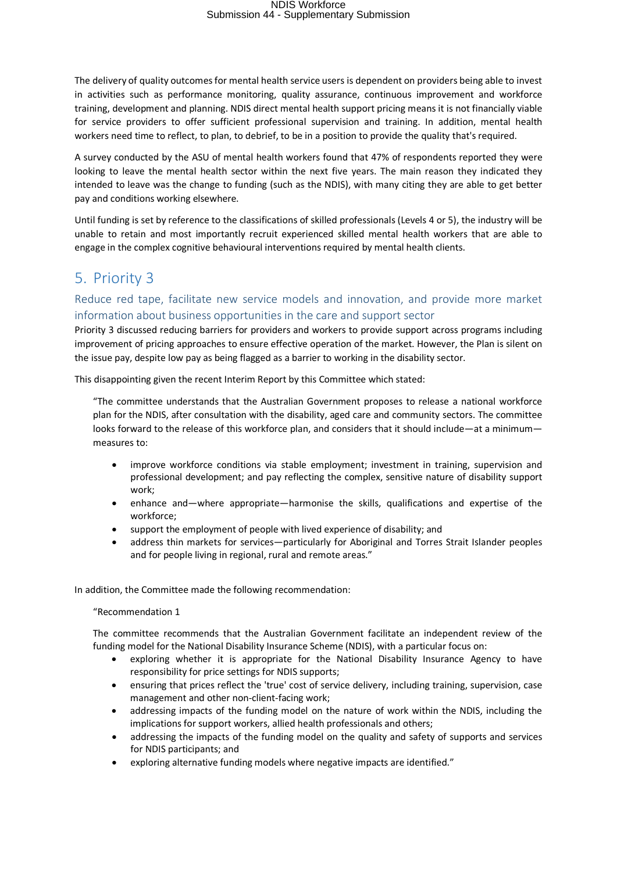The delivery of quality outcomes for mental health service users is dependent on providers being able to invest in activities such as performance monitoring, quality assurance, continuous improvement and workforce training, development and planning. NDIS direct mental health support pricing means it is not financially viable for service providers to offer sufficient professional supervision and training. In addition, mental health workers need time to reflect, to plan, to debrief, to be in a position to provide the quality that's required.

A survey conducted by the ASU of mental health workers found that 47% of respondents reported they were looking to leave the mental health sector within the next five years. The main reason they indicated they intended to leave was the change to funding (such as the NDIS), with many citing they are able to get better pay and conditions working elsewhere.

Until funding is set by reference to the classifications of skilled professionals (Levels 4 or 5), the industry will be unable to retain and most importantly recruit experienced skilled mental health workers that are able to engage in the complex cognitive behavioural interventions required by mental health clients.

### 5. Priority 3

### Reduce red tape, facilitate new service models and innovation, and provide more market information about business opportunities in the care and support sector

Priority 3 discussed reducing barriers for providers and workers to provide support across programs including improvement of pricing approaches to ensure effective operation of the market. However, the Plan is silent on the issue pay, despite low pay as being flagged as a barrier to working in the disability sector.

This disappointing given the recent Interim Report by this Committee which stated:

"The committee understands that the Australian Government proposes to release a national workforce plan for the NDIS, after consultation with the disability, aged care and community sectors. The committee looks forward to the release of this workforce plan, and considers that it should include—at a minimummeasures to:

- improve workforce conditions via stable employment; investment in training, supervision and professional development; and pay reflecting the complex, sensitive nature of disability support work;
- enhance and—where appropriate—harmonise the skills, qualifications and expertise of the workforce;
- support the employment of people with lived experience of disability; and
- address thin markets for services—particularly for Aboriginal and Torres Strait Islander peoples and for people living in regional, rural and remote areas."

In addition, the Committee made the following recommendation:

"Recommendation 1

The committee recommends that the Australian Government facilitate an independent review of the funding model for the National Disability Insurance Scheme (NDIS), with a particular focus on:

- exploring whether it is appropriate for the National Disability Insurance Agency to have responsibility for price settings for NDIS supports;
- ensuring that prices reflect the 'true' cost of service delivery, including training, supervision, case management and other non-client-facing work;
- addressing impacts of the funding model on the nature of work within the NDIS, including the implications for support workers, allied health professionals and others;
- addressing the impacts of the funding model on the quality and safety of supports and services for NDIS participants; and
- exploring alternative funding models where negative impacts are identified."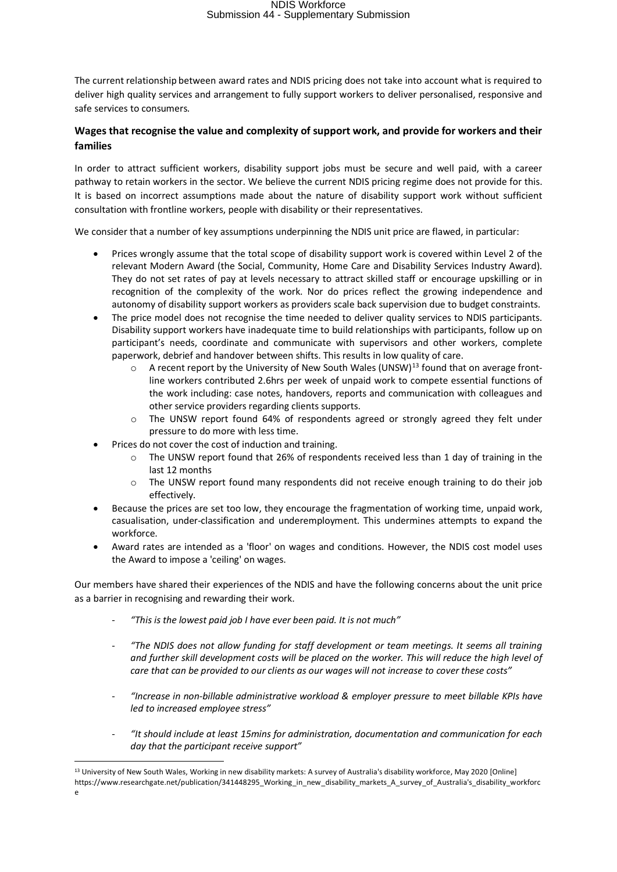The current relationship between award rates and NDIS pricing does not take into account what is required to deliver high quality services and arrangement to fully support workers to deliver personalised, responsive and safe services to consumers.

#### **Wages that recognise the value and complexity of support work, and provide for workers and their families**

In order to attract sufficient workers, disability support jobs must be secure and well paid, with a career pathway to retain workers in the sector. We believe the current NDIS pricing regime does not provide for this. It is based on incorrect assumptions made about the nature of disability support work without sufficient consultation with frontline workers, people with disability or their representatives.

We consider that a number of key assumptions underpinning the NDIS unit price are flawed, in particular:

- Prices wrongly assume that the total scope of disability support work is covered within Level 2 of the relevant Modern Award (the Social, Community, Home Care and Disability Services Industry Award). They do not set rates of pay at levels necessary to attract skilled staff or encourage upskilling or in recognition of the complexity of the work. Nor do prices reflect the growing independence and autonomy of disability support workers as providers scale back supervision due to budget constraints.
- The price model does not recognise the time needed to deliver quality services to NDIS participants. Disability support workers have inadequate time to build relationships with participants, follow up on participant's needs, coordinate and communicate with supervisors and other workers, complete paperwork, debrief and handover between shifts. This results in low quality of care.
	- $\circ$  A recent report by the University of New South Wales (UNSW)<sup>13</sup> found that on average frontline workers contributed 2.6hrs per week of unpaid work to compete essential functions of the work including: case notes, handovers, reports and communication with colleagues and other service providers regarding clients supports.
	- $\circ$  The UNSW report found 64% of respondents agreed or strongly agreed they felt under pressure to do more with less time.
- Prices do not cover the cost of induction and training.
	- o The UNSW report found that 26% of respondents received less than 1 day of training in the last 12 months
	- $\circ$  The UNSW report found many respondents did not receive enough training to do their job effectively.
- Because the prices are set too low, they encourage the fragmentation of working time, unpaid work, casualisation, under-classification and underemployment. This undermines attempts to expand the workforce.
- Award rates are intended as a 'floor' on wages and conditions. However, the NDIS cost model uses the Award to impose a 'ceiling' on wages.

Our members have shared their experiences of the NDIS and have the following concerns about the unit price as a barrier in recognising and rewarding their work.

- *"This is the lowest paid job I have ever been paid. It is not much"*
- *"The NDIS does not allow funding for staff development or team meetings. It seems all training and further skill development costs will be placed on the worker. This will reduce the high level of care that can be provided to our clients as our wages will not increase to cover these costs"*
- *"Increase in non-billable administrative workload & employer pressure to meet billable KPIs have led to increased employee stress"*
- *"It should include at least 15mins for administration, documentation and communication for each day that the participant receive support"*

 $\overline{a}$ 

<sup>13</sup> University of New South Wales, Working in new disability markets: A survey of Australia's disability workforce, May 2020 [Online]

https://www.researchgate.net/publication/341448295\_Working\_in\_new\_disability\_markets\_A\_survey\_of\_Australia's\_disability\_workforc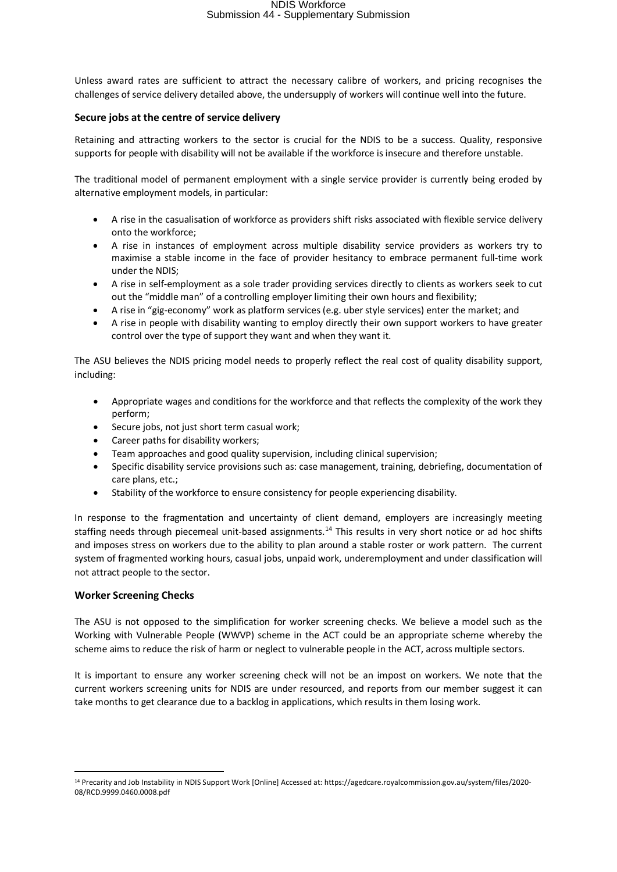Unless award rates are sufficient to attract the necessary calibre of workers, and pricing recognises the challenges of service delivery detailed above, the undersupply of workers will continue well into the future.

#### **Secure jobs at the centre of service delivery**

Retaining and attracting workers to the sector is crucial for the NDIS to be a success. Quality, responsive supports for people with disability will not be available if the workforce is insecure and therefore unstable.

The traditional model of permanent employment with a single service provider is currently being eroded by alternative employment models, in particular:

- A rise in the casualisation of workforce as providers shift risks associated with flexible service delivery onto the workforce;
- A rise in instances of employment across multiple disability service providers as workers try to maximise a stable income in the face of provider hesitancy to embrace permanent full-time work under the NDIS;
- A rise in self-employment as a sole trader providing services directly to clients as workers seek to cut out the "middle man" of a controlling employer limiting their own hours and flexibility;
- A rise in "gig-economy" work as platform services (e.g. uber style services) enter the market; and
- A rise in people with disability wanting to employ directly their own support workers to have greater control over the type of support they want and when they want it.

The ASU believes the NDIS pricing model needs to properly reflect the real cost of quality disability support, including:

- Appropriate wages and conditions for the workforce and that reflects the complexity of the work they perform;
- Secure jobs, not just short term casual work;
- Career paths for disability workers;
- Team approaches and good quality supervision, including clinical supervision;
- Specific disability service provisions such as: case management, training, debriefing, documentation of care plans, etc.;
- Stability of the workforce to ensure consistency for people experiencing disability.

In response to the fragmentation and uncertainty of client demand, employers are increasingly meeting staffing needs through piecemeal unit-based assignments.<sup>14</sup> This results in very short notice or ad hoc shifts and imposes stress on workers due to the ability to plan around a stable roster or work pattern. The current system of fragmented working hours, casual jobs, unpaid work, underemployment and under classification will not attract people to the sector.

#### **Worker Screening Checks**

**.** 

The ASU is not opposed to the simplification for worker screening checks. We believe a model such as the Working with Vulnerable People (WWVP) scheme in the ACT could be an appropriate scheme whereby the scheme aims to reduce the risk of harm or neglect to vulnerable people in the ACT, across multiple sectors.

It is important to ensure any worker screening check will not be an impost on workers. We note that the current workers screening units for NDIS are under resourced, and reports from our member suggest it can take months to get clearance due to a backlog in applications, which results in them losing work.

<sup>14</sup> Precarity and Job Instability in NDIS Support Work [Online] Accessed at: https://agedcare.royalcommission.gov.au/system/files/2020- 08/RCD.9999.0460.0008.pdf